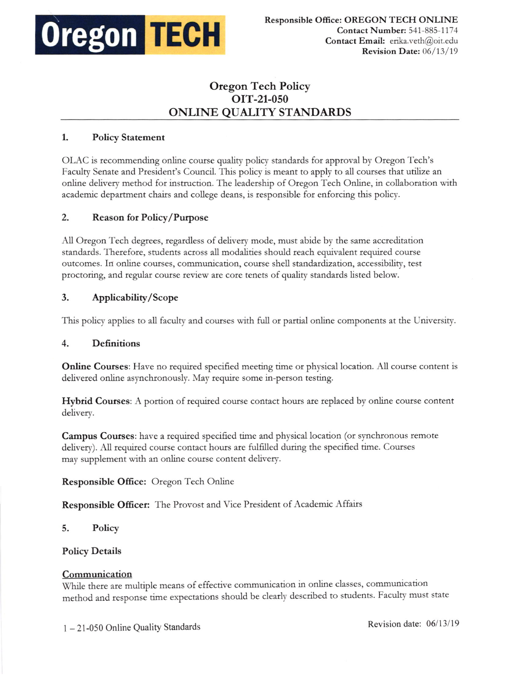

# Oregon Tech Policy oIT-21-050 ONLINE QUALITY STANDARDS

### 1. Policy Statement

OI-AC is tecommending online coure quality poligv standards fot approval by Oregon Tech's Faculty Senate and President's Council. This policy is meant to apply to all courses that utilize an online delivery method for instruction. The leadership of Oregon Tech Online, in collaboration witl academic department chairs and college deans, is responsible for enforcing this policy.

# 2. Reason for Policy/Purpose

All Oregon Tech degrees, regardless of delivery mode, must abide by the same accreditation standards. Therefore, students across all modalities should reach equivalent required course outcomes. In online courses, communication, course shell standardization, accessibility, test proctoring, and tegular course review are core tenets of quaiity standards listed below.

# 3. Applicability/Scope

This policy applies to all faculty and courses with full or partial online components at the University.

### 4. Definitions

Online Courses: Have no required specified meeting time or physical location. All course content is delivered online asynchronously. May require some in-person testing.

Hybrid Courses: A portion of required course contact hours are replaced by online course content delivery.

**Campus Courses:** have a required specified time and physical location (or synchronous remote delivery). All required course contact hours are fulfilled during the specified time. Courses may supplement with an online course content delivery.

### Responsible Office: Oregon Tech Online

Responsible Officer: The Ptovost and Vice President of Academic Affairs

5. Policv

### Policy Details

### Communication

While there are multiple means of effective communication in online classes, communication method and response time expectations should be clearly described to students. Faculty must state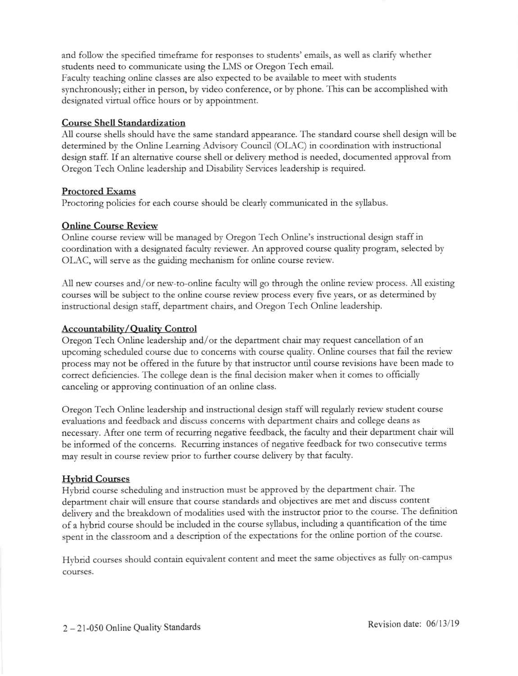and follow the specified timeframe for responses to students' emails, as well as clarify whether students need to communicate using the LMS or Oregon Tech email.

Faculty teaching online classes are also expected to be available to meet with students synchronously; either in petson, by video conference, or by phone. This can be accomplished with designated virtual office hours or by appointment.

# Coutse Shell Standardiz ation

A11 course shells should have the same standard appearance. The standard course shell design will be determined by the Online Learning Advisory Council (OLAC) in coordination with instructional design saff. If an altemative course shell or delivery method is needed, documented approval from Oregon Tech Online leadership and Disability Services leadership is required.

### Proctored Exams

Proctoring policies fot each coutse should be cleady communicated in the syllabus.

# Online Course Review

Online course review will be managed by Oregon Tech Online's instmctional design staff in coordination with a designated faculty reviewer. An approved course quality program, selected by OLAC, will serve as the guiding mechanism for online course review.

All new courses and/or new-to-online faculty will go through the online review process. All existing courses will be subject to the online course review process every five years, or as determined by instructional desgn staff, departrnent chairs, and Oregon Tech Online leadership.

# Accountability/Quality Control

Oregon Tech Online leadership and/or the department chair may request cancellation of an upcoming scheduled course due to concems with course quality. Online coutses that fail the review process may not be offeted in the futute by that instructor undl course tevisioos have been made to correct deficiencies. The college dean is the final decision maker when it comes to officially canceling or apptoving continuation of an online class.

Oregon Tech Online leadership and instructional design staff will regularly review student course evaluations and feedback and discuss concerns with department chairs and college deans as necessary. After one term of recurring negative feedback, the faculty and their department chair will be informed of the concerns. Recurring instances of negative feedback for two consecutive terms may result in course review priot to further course delivery by that faculty.

# **Hybrid Courses**

Hybrid course scheduling and instruction must be approved by the departrnent chair. The departrnent chair will ensure that course standards and objectives ate met and discuss content delivery and the breakdown of modalities used with the instructor prior to the course. The definition of a hybrid course should be included in the course syllabus, including a quantification of the time spent in the classroom and a description of the expectations fot the online portion of the course.

Hybrid courses should contain equivalent content and meet the same objectives as fully on-campus courses.